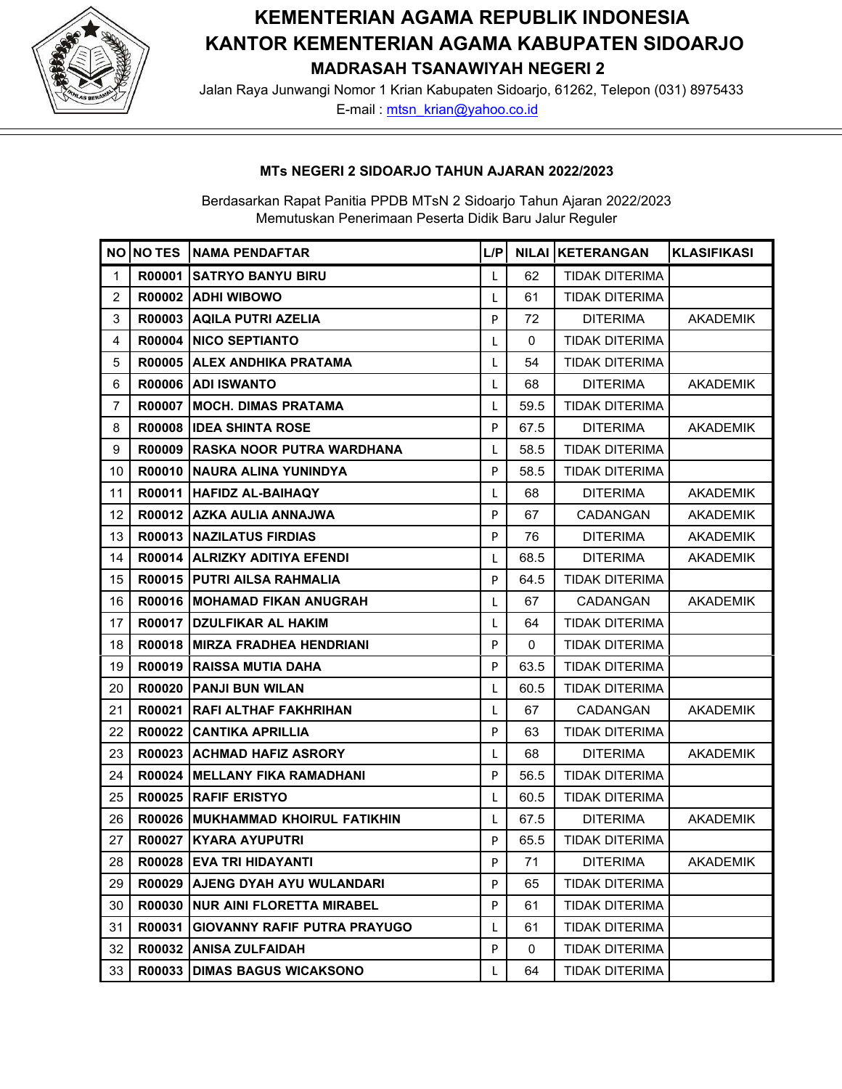

# **KEMENTERIAN AGAMA REPUBLIK INDONESIA KANTOR KEMENTERIAN AGAMA KABUPATEN SIDOARJO MADRASAH TSANAWIYAH NEGERI 2**

 Jalan Raya Junwangi Nomor 1 Krian Kabupaten Sidoarjo, 61262, Telepon (031) 8975433 E-mail : [mtsn\\_krian@yahoo.co.id](mailto:mtsn_krian@yahoo.co.id)

## **MTs NEGERI 2 SIDOARJO TAHUN AJARAN 2022/2023**

|                |        | NO NO TES NAMA PENDAFTAR            | L/P |      | <b>NILAI KETERANGAN</b> | <b>KLASIFIKASI</b> |
|----------------|--------|-------------------------------------|-----|------|-------------------------|--------------------|
| $\mathbf{1}$   |        | R00001 SATRYO BANYU BIRU            | L   | 62   | TIDAK DITERIMA          |                    |
| $\overline{2}$ |        | R00002 ADHI WIBOWO                  | L   | 61   | <b>TIDAK DITERIMA</b>   |                    |
| 3              |        | R00003 AQILA PUTRI AZELIA           | P   | 72   | <b>DITERIMA</b>         | <b>AKADEMIK</b>    |
| 4              |        | <b>R00004 INICO SEPTIANTO</b>       | L   | 0    | TIDAK DITERIMA          |                    |
| 5              |        | R00005 ALEX ANDHIKA PRATAMA         | L   | 54   | <b>TIDAK DITERIMA</b>   |                    |
| 6              |        | R00006 ADI ISWANTO                  | L   | 68   | <b>DITERIMA</b>         | AKADEMIK           |
| $\overline{7}$ |        | R00007   MOCH. DIMAS PRATAMA        | L   | 59.5 | TIDAK DITERIMA          |                    |
| 8              |        | <b>R00008 IDEA SHINTA ROSE</b>      | P   | 67.5 | <b>DITERIMA</b>         | <b>AKADEMIK</b>    |
| 9              |        | R00009 RASKA NOOR PUTRA WARDHANA    | L   | 58.5 | <b>TIDAK DITERIMA</b>   |                    |
| 10             |        | R00010 INAURA ALINA YUNINDYA        | P   | 58.5 | <b>TIDAK DITERIMA</b>   |                    |
| 11             |        | R00011   HAFIDZ AL-BAIHAQY          | L   | 68   | <b>DITERIMA</b>         | <b>AKADEMIK</b>    |
| 12             |        | R00012   AZKA AULIA ANNAJWA         | P   | 67   | CADANGAN                | <b>AKADEMIK</b>    |
| 13             |        | R00013   NAZILATUS FIRDIAS          | P   | 76   | <b>DITERIMA</b>         | <b>AKADEMIK</b>    |
| 14             |        | R00014 ALRIZKY ADITIYA EFENDI       | L   | 68.5 | <b>DITERIMA</b>         | <b>AKADEMIK</b>    |
| 15             |        | R00015 PUTRI AILSA RAHMALIA         | P   | 64.5 | <b>TIDAK DITERIMA</b>   |                    |
| 16             |        | R00016 MOHAMAD FIKAN ANUGRAH        | L   | 67   | CADANGAN                | <b>AKADEMIK</b>    |
| 17             |        | R00017 DZULFIKAR AL HAKIM           | L   | 64   | <b>TIDAK DITERIMA</b>   |                    |
| 18             |        | R00018   MIRZA FRADHEA HENDRIANI    | P   | 0    | <b>TIDAK DITERIMA</b>   |                    |
| 19             |        | R00019 RAISSA MUTIA DAHA            | P   | 63.5 | <b>TIDAK DITERIMA</b>   |                    |
| 20             |        | R00020 PANJI BUN WILAN              | L   | 60.5 | TIDAK DITERIMA          |                    |
| 21             |        | R00021 RAFI ALTHAF FAKHRIHAN        | L   | 67   | CADANGAN                | <b>AKADEMIK</b>    |
| 22             |        | R00022 CANTIKA APRILLIA             | P   | 63   | <b>TIDAK DITERIMA</b>   |                    |
| 23             |        | R00023 ACHMAD HAFIZ ASRORY          | L   | 68   | <b>DITERIMA</b>         | <b>AKADEMIK</b>    |
| 24             |        | R00024   MELLANY FIKA RAMADHANI     | P   | 56.5 | <b>TIDAK DITERIMA</b>   |                    |
| 25             |        | <b>R00025 RAFIF ERISTYO</b>         | L   | 60.5 | <b>TIDAK DITERIMA</b>   |                    |
| 26             |        | R00026 MUKHAMMAD KHOIRUL FATIKHIN   | L   | 67.5 | <b>DITERIMA</b>         | <b>AKADEMIK</b>    |
| 27             |        | R00027 KYARA AYUPUTRI               | P   | 65.5 | <b>TIDAK DITERIMA</b>   |                    |
| 28             |        | R00028 EVA TRI HIDAYANTI            | P   | 71   | <b>DITERIMA</b>         | <b>AKADEMIK</b>    |
| 29             |        | R00029 AJENG DYAH AYU WULANDARI     | P   | 65   | <b>TIDAK DITERIMA</b>   |                    |
| 30             |        | R00030   NUR AINI FLORETTA MIRABEL  | P   | 61   | <b>TIDAK DITERIMA</b>   |                    |
| 31             | R00031 | <b>GIOVANNY RAFIF PUTRA PRAYUGO</b> | L   | 61   | <b>TIDAK DITERIMA</b>   |                    |
| 32             | R00032 | <b>ANISA ZULFAIDAH</b>              | P   | 0    | TIDAK DITERIMA          |                    |
| 33             | R00033 | <b>DIMAS BAGUS WICAKSONO</b>        | L   | 64   | <b>TIDAK DITERIMA</b>   |                    |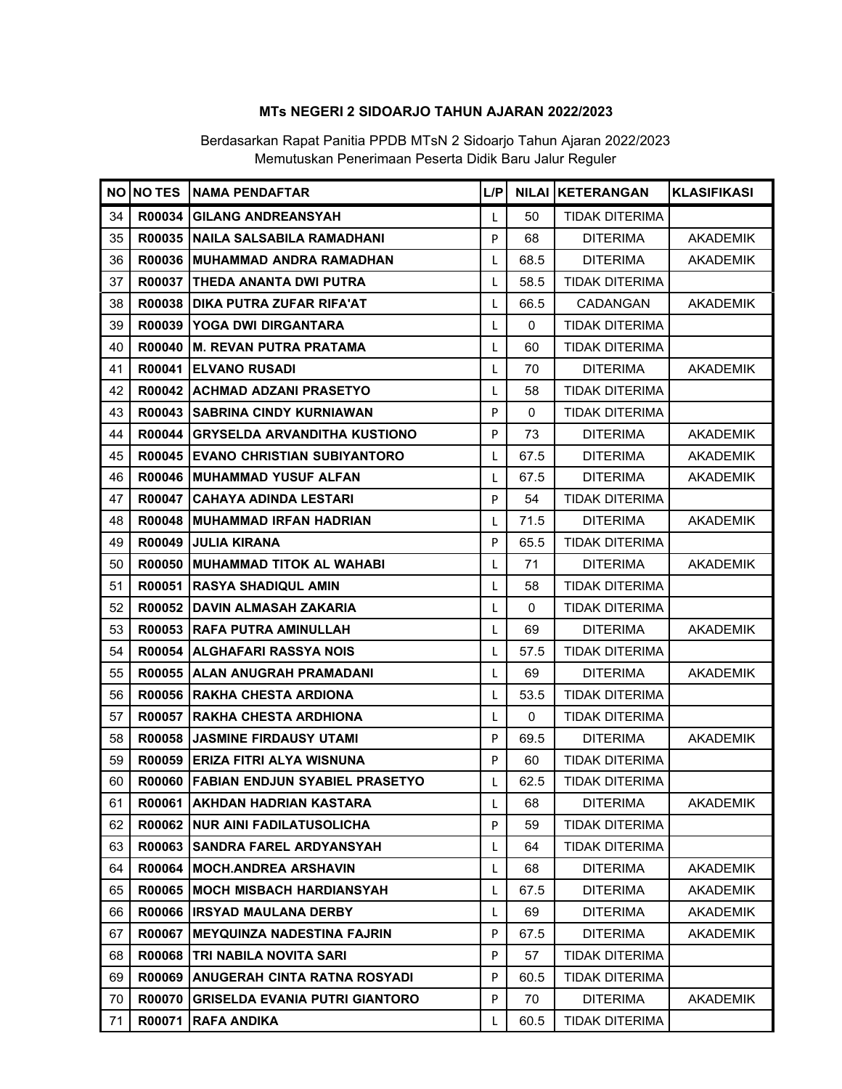|    |               | <b>NO INO TES INAMA PENDAFTAR</b>         | L/P          |          | <b>NILAI KETERANGAN</b> | <b>KLASIFIKASI</b> |
|----|---------------|-------------------------------------------|--------------|----------|-------------------------|--------------------|
| 34 | R00034        | <b>GILANG ANDREANSYAH</b>                 | L            | 50       | TIDAK DITERIMA          |                    |
| 35 |               | R00035 NAILA SALSABILA RAMADHANI          | P            | 68       | <b>DITERIMA</b>         | <b>AKADEMIK</b>    |
| 36 |               | R00036 MUHAMMAD ANDRA RAMADHAN            | L            | 68.5     | <b>DITERIMA</b>         | <b>AKADEMIK</b>    |
| 37 |               | <b>R00037 ITHEDA ANANTA DWI PUTRA</b>     | L            | 58.5     | TIDAK DITERIMA          |                    |
| 38 |               | R00038 DIKA PUTRA ZUFAR RIFA'AT           | L            | 66.5     | <b>CADANGAN</b>         | <b>AKADEMIK</b>    |
| 39 |               | R00039 YOGA DWI DIRGANTARA                | L            | 0        | <b>TIDAK DITERIMA</b>   |                    |
| 40 |               | R00040   M. REVAN PUTRA PRATAMA           | L            | 60       | <b>TIDAK DITERIMA</b>   |                    |
| 41 |               | R00041 ELVANO RUSADI                      | L            | 70       | <b>DITERIMA</b>         | <b>AKADEMIK</b>    |
| 42 |               | R00042 ACHMAD ADZANI PRASETYO             | L            | 58       | <b>TIDAK DITERIMA</b>   |                    |
| 43 |               | R00043 SABRINA CINDY KURNIAWAN            | P            | $\Omega$ | <b>TIDAK DITERIMA</b>   |                    |
| 44 |               | R00044 GRYSELDA ARVANDITHA KUSTIONO       | P            | 73       | <b>DITERIMA</b>         | <b>AKADEMIK</b>    |
| 45 |               | <b>R00045 EVANO CHRISTIAN SUBIYANTORO</b> | L            | 67.5     | <b>DITERIMA</b>         | <b>AKADEMIK</b>    |
| 46 |               | R00046   MUHAMMAD YUSUF ALFAN             | L            | 67.5     | <b>DITERIMA</b>         | <b>AKADEMIK</b>    |
| 47 |               | R00047 CAHAYA ADINDA LESTARI              | P            | 54       | <b>TIDAK DITERIMA</b>   |                    |
| 48 |               | R00048 MUHAMMAD IRFAN HADRIAN             | L            | 71.5     | <b>DITERIMA</b>         | <b>AKADEMIK</b>    |
| 49 |               | R00049 JULIA KIRANA                       | P            | 65.5     | <b>TIDAK DITERIMA</b>   |                    |
| 50 |               | R00050   MUHAMMAD TITOK AL WAHABI         | L            | 71       | <b>DITERIMA</b>         | <b>AKADEMIK</b>    |
| 51 |               | R00051 RASYA SHADIQUL AMIN                | L            | 58       | <b>TIDAK DITERIMA</b>   |                    |
| 52 |               | R00052 DAVIN ALMASAH ZAKARIA              | L            | $\Omega$ | <b>TIDAK DITERIMA</b>   |                    |
| 53 |               | R00053 RAFA PUTRA AMINULLAH               | L            | 69       | <b>DITERIMA</b>         | <b>AKADEMIK</b>    |
| 54 |               | R00054 ALGHAFARI RASSYA NOIS              | L            | 57.5     | <b>TIDAK DITERIMA</b>   |                    |
| 55 |               | R00055 ALAN ANUGRAH PRAMADANI             | L            | 69       | <b>DITERIMA</b>         | <b>AKADEMIK</b>    |
| 56 |               | R00056 RAKHA CHESTA ARDIONA               | L            | 53.5     | <b>TIDAK DITERIMA</b>   |                    |
| 57 |               | R00057 RAKHA CHESTA ARDHIONA              | L            | $\Omega$ | <b>TIDAK DITERIMA</b>   |                    |
| 58 |               | R00058 JASMINE FIRDAUSY UTAMI             | P            | 69.5     | <b>DITERIMA</b>         | <b>AKADEMIK</b>    |
| 59 |               | R00059 ERIZA FITRI ALYA WISNUNA           | P            | 60       | <b>TIDAK DITERIMA</b>   |                    |
| 60 |               | R00060 FABIAN ENDJUN SYABIEL PRASETYO     | L            | 62.5     | <b>TIDAK DITERIMA</b>   |                    |
| 61 |               | R00061   AKHDAN HADRIAN KASTARA           | L            | 68       | <b>DITERIMA</b>         | <b>AKADEMIK</b>    |
| 62 |               | R00062   NUR AINI FADILATUSOLICHA         | P            | 59       | <b>TIDAK DITERIMA</b>   |                    |
| 63 |               | R00063 SANDRA FAREL ARDYANSYAH            | L            | 64       | <b>TIDAK DITERIMA</b>   |                    |
| 64 | R00064        | <b>IMOCH.ANDREA ARSHAVIN</b>              | $\mathbf{I}$ | 68       | <b>DITERIMA</b>         | <b>AKADEMIK</b>    |
| 65 |               | R00065 MOCH MISBACH HARDIANSYAH           | L            | 67.5     | <b>DITERIMA</b>         | <b>AKADEMIK</b>    |
| 66 |               | R00066   IRSYAD MAULANA DERBY             | L            | 69       | <b>DITERIMA</b>         | <b>AKADEMIK</b>    |
| 67 | R00067        | <b>IMEYQUINZA NADESTINA FAJRIN</b>        | P            | 67.5     | <b>DITERIMA</b>         | <b>AKADEMIK</b>    |
| 68 |               | R00068   TRI NABILA NOVITA SARI           | P            | 57       | <b>TIDAK DITERIMA</b>   |                    |
| 69 | <b>R00069</b> | <b>ANUGERAH CINTA RATNA ROSYADI</b>       | P            | 60.5     | <b>TIDAK DITERIMA</b>   |                    |
| 70 | <b>R00070</b> | <b>GRISELDA EVANIA PUTRI GIANTORO</b>     | P            | 70       | <b>DITERIMA</b>         | <b>AKADEMIK</b>    |
| 71 | R00071        | <b>RAFA ANDIKA</b>                        |              | 60.5     | TIDAK DITERIMA          |                    |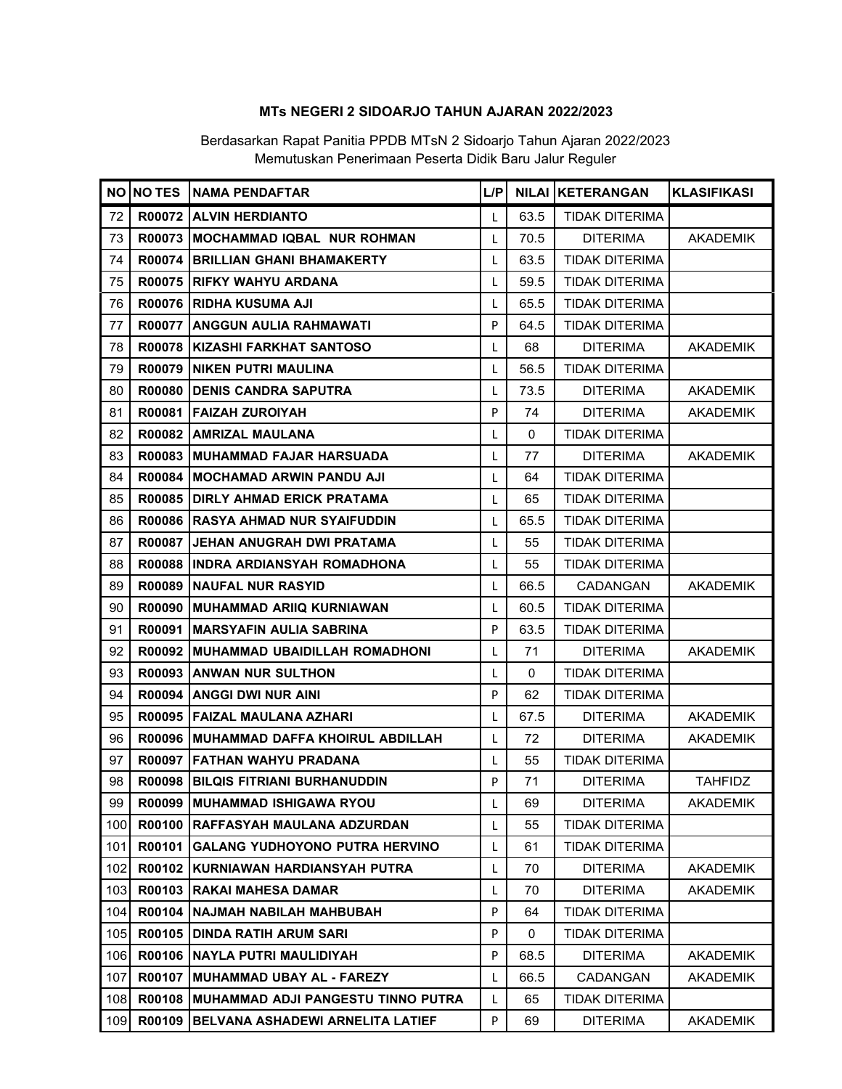|     |               | NO NO TES NAMA PENDAFTAR               | L/PI |             | <b>NILAI KETERANGAN</b> | <b>KLASIFIKASI</b> |
|-----|---------------|----------------------------------------|------|-------------|-------------------------|--------------------|
| 72  |               | R00072 ALVIN HERDIANTO                 | L    | 63.5        | TIDAK DITERIMA          |                    |
| 73  |               | R00073 IMOCHAMMAD IQBAL NUR ROHMAN     | L    | 70.5        | <b>DITERIMA</b>         | <b>AKADEMIK</b>    |
| 74  |               | R00074 BRILLIAN GHANI BHAMAKERTY       | L    | 63.5        | <b>TIDAK DITERIMA</b>   |                    |
| 75  |               | R00075   RIFKY WAHYU ARDANA            | L    | 59.5        | <b>TIDAK DITERIMA</b>   |                    |
| 76  |               | R00076 RIDHA KUSUMA AJI                | L    | 65.5        | <b>TIDAK DITERIMA</b>   |                    |
| 77  |               | R00077   ANGGUN AULIA RAHMAWATI        | P    | 64.5        | TIDAK DITERIMA          |                    |
| 78  |               | R00078   KIZASHI FARKHAT SANTOSO       | L    | 68          | <b>DITERIMA</b>         | AKADEMIK           |
| 79  |               | R00079 NIKEN PUTRI MAULINA             | L    | 56.5        | <b>TIDAK DITERIMA</b>   |                    |
| 80  |               | R00080 DENIS CANDRA SAPUTRA            | L    | 73.5        | <b>DITERIMA</b>         | <b>AKADEMIK</b>    |
| 81  |               | R00081 FAIZAH ZUROIYAH                 | P    | 74          | <b>DITERIMA</b>         | <b>AKADEMIK</b>    |
| 82  |               | R00082 AMRIZAL MAULANA                 | L    | $\mathbf 0$ | <b>TIDAK DITERIMA</b>   |                    |
| 83  |               | R00083 MUHAMMAD FAJAR HARSUADA         | L    | 77          | <b>DITERIMA</b>         | <b>AKADEMIK</b>    |
| 84  |               | R00084   MOCHAMAD ARWIN PANDU AJI      | L    | 64          | <b>TIDAK DITERIMA</b>   |                    |
| 85  |               | R00085 DIRLY AHMAD ERICK PRATAMA       | L    | 65          | <b>TIDAK DITERIMA</b>   |                    |
| 86  |               | R00086 RASYA AHMAD NUR SYAIFUDDIN      | L    | 65.5        | <b>TIDAK DITERIMA</b>   |                    |
| 87  |               | R00087 JEHAN ANUGRAH DWI PRATAMA       | L    | 55          | <b>TIDAK DITERIMA</b>   |                    |
| 88  |               | R00088 IINDRA ARDIANSYAH ROMADHONA     | L    | 55          | <b>TIDAK DITERIMA</b>   |                    |
| 89  |               | R00089 NAUFAL NUR RASYID               | L    | 66.5        | CADANGAN                | <b>AKADEMIK</b>    |
| 90  |               | R00090   MUHAMMAD ARIIQ KURNIAWAN      | L    | 60.5        | <b>TIDAK DITERIMA</b>   |                    |
| 91  |               | R00091 MARSYAFIN AULIA SABRINA         | P    | 63.5        | <b>TIDAK DITERIMA</b>   |                    |
| 92  |               | R00092   MUHAMMAD UBAIDILLAH ROMADHONI | L    | 71          | <b>DITERIMA</b>         | <b>AKADEMIK</b>    |
| 93  |               | <b>R00093 ANWAN NUR SULTHON</b>        | L    | $\mathbf 0$ | <b>TIDAK DITERIMA</b>   |                    |
| 94  |               | R00094 ANGGI DWI NUR AINI              | P    | 62          | <b>TIDAK DITERIMA</b>   |                    |
| 95  |               | R00095 FAIZAL MAULANA AZHARI           | L    | 67.5        | <b>DITERIMA</b>         | <b>AKADEMIK</b>    |
| 96  |               | R00096 MUHAMMAD DAFFA KHOIRUL ABDILLAH | L    | 72          | <b>DITERIMA</b>         | AKADEMIK           |
| 97  |               | R00097 FATHAN WAHYU PRADANA            | L    | 55          | <b>TIDAK DITERIMA</b>   |                    |
| 98  |               | R00098 BILQIS FITRIANI BURHANUDDIN     | P    | 71          | <b>DITERIMA</b>         | <b>TAHFIDZ</b>     |
| 99  |               | R00099   MUHAMMAD ISHIGAWA RYOU        | L    | 69          | <b>DITERIMA</b>         | AKADEMIK           |
| 100 |               | R00100 RAFFASYAH MAULANA ADZURDAN      | L    | 55          | <b>TIDAK DITERIMA</b>   |                    |
| 101 |               | R00101 GALANG YUDHOYONO PUTRA HERVINO  | L    | 61          | <b>TIDAK DITERIMA</b>   |                    |
| 102 |               | R00102 KURNIAWAN HARDIANSYAH PUTRA     | L    | 70          | <b>DITERIMA</b>         | <b>AKADEMIK</b>    |
| 103 |               | R00103 RAKAI MAHESA DAMAR              | L    | 70          | <b>DITERIMA</b>         | <b>AKADEMIK</b>    |
| 104 |               | R00104 NAJMAH NABILAH MAHBUBAH         | P    | 64          | <b>TIDAK DITERIMA</b>   |                    |
| 105 |               | R00105 DINDA RATIH ARUM SARI           | P    | 0           | <b>TIDAK DITERIMA</b>   |                    |
| 106 |               | R00106 NAYLA PUTRI MAULIDIYAH          | P    | 68.5        | <b>DITERIMA</b>         | <b>AKADEMIK</b>    |
| 107 |               | R00107 MUHAMMAD UBAY AL - FAREZY       | L    | 66.5        | CADANGAN                | <b>AKADEMIK</b>    |
| 108 | <b>R00108</b> | IMUHAMMAD ADJI PANGESTU TINNO PUTRA    | L    | 65          | <b>TIDAK DITERIMA</b>   |                    |
| 109 | R00109        | BELVANA ASHADEWI ARNELITA LATIEF       | P    | 69          | <b>DITERIMA</b>         | <b>AKADEMIK</b>    |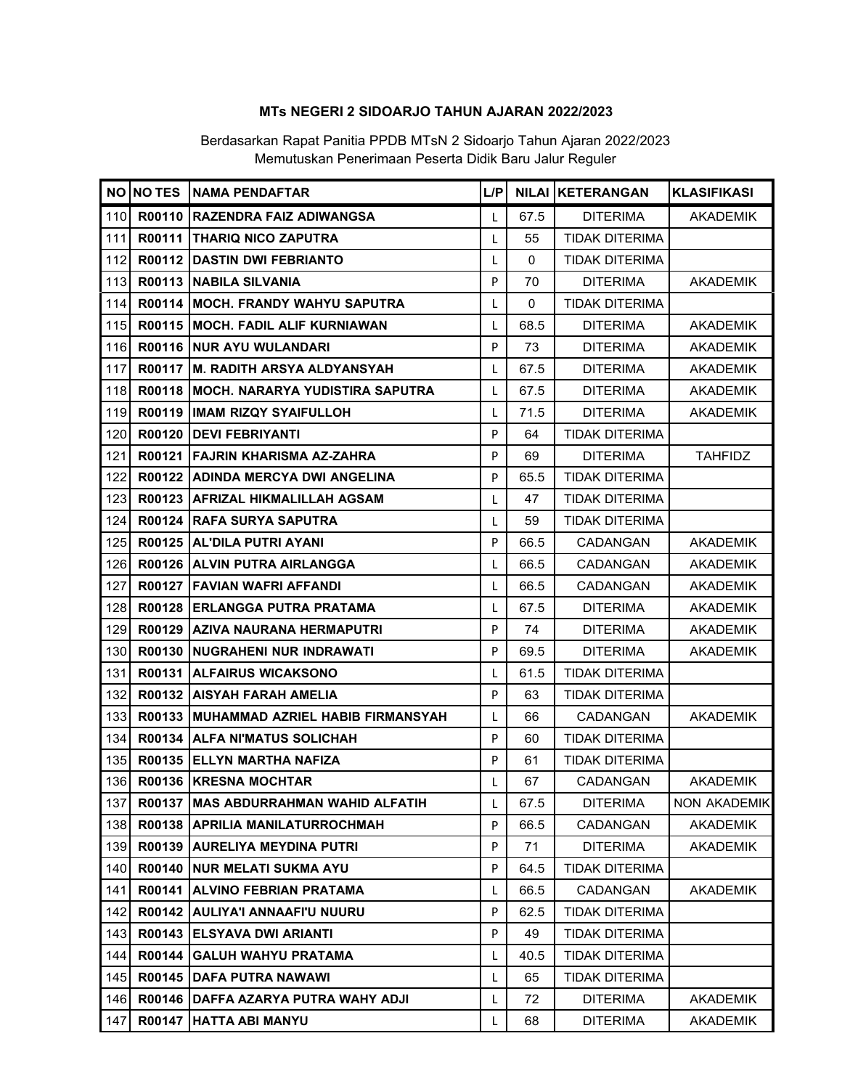|     |        | NO NO TES NAMA PENDAFTAR                 | L/P |             | <b>NILAI KETERANGAN</b> | <b>KLASIFIKASI</b> |
|-----|--------|------------------------------------------|-----|-------------|-------------------------|--------------------|
| 110 |        | R00110 RAZENDRA FAIZ ADIWANGSA           | L   | 67.5        | <b>DITERIMA</b>         | <b>AKADEMIK</b>    |
| 111 |        | <b>R00111 THARIQ NICO ZAPUTRA</b>        | L   | 55          | <b>TIDAK DITERIMA</b>   |                    |
| 112 |        | R00112 DASTIN DWI FEBRIANTO              | L   | 0           | <b>TIDAK DITERIMA</b>   |                    |
| 113 |        | R00113 NABILA SILVANIA                   | P   | 70          | <b>DITERIMA</b>         | <b>AKADEMIK</b>    |
| 114 |        | R00114   MOCH. FRANDY WAHYU SAPUTRA      | L   | $\mathbf 0$ | <b>TIDAK DITERIMA</b>   |                    |
| 115 |        | R00115   MOCH. FADIL ALIF KURNIAWAN      | L   | 68.5        | <b>DITERIMA</b>         | <b>AKADEMIK</b>    |
| 116 |        | R00116 NUR AYU WULANDARI                 | P   | 73          | <b>DITERIMA</b>         | <b>AKADEMIK</b>    |
| 117 |        | R00117 M. RADITH ARSYA ALDYANSYAH        | L   | 67.5        | <b>DITERIMA</b>         | <b>AKADEMIK</b>    |
| 118 |        | R00118   MOCH. NARARYA YUDISTIRA SAPUTRA | L   | 67.5        | <b>DITERIMA</b>         | <b>AKADEMIK</b>    |
| 119 |        | R00119  IMAM RIZQY SYAIFULLOH            | L   | 71.5        | <b>DITERIMA</b>         | AKADEMIK           |
| 120 |        | R00120 DEVI FEBRIYANTI                   | P   | 64          | <b>TIDAK DITERIMA</b>   |                    |
| 121 |        | R00121   FAJRIN KHARISMA AZ-ZAHRA        | P   | 69          | <b>DITERIMA</b>         | <b>TAHFIDZ</b>     |
| 122 |        | R00122 ADINDA MERCYA DWI ANGELINA        | P   | 65.5        | <b>TIDAK DITERIMA</b>   |                    |
| 123 |        | R00123 AFRIZAL HIKMALILLAH AGSAM         | L   | 47          | <b>TIDAK DITERIMA</b>   |                    |
| 124 |        | R00124 RAFA SURYA SAPUTRA                | L   | 59          | TIDAK DITERIMA          |                    |
| 125 |        | R00125 AL'DILA PUTRI AYANI               | P   | 66.5        | CADANGAN                | <b>AKADEMIK</b>    |
| 126 |        | R00126 ALVIN PUTRA AIRLANGGA             | L   | 66.5        | CADANGAN                | <b>AKADEMIK</b>    |
| 127 |        | R00127   FAVIAN WAFRI AFFANDI            | L   | 66.5        | CADANGAN                | <b>AKADEMIK</b>    |
| 128 |        | R00128 ERLANGGA PUTRA PRATAMA            | L   | 67.5        | <b>DITERIMA</b>         | <b>AKADEMIK</b>    |
| 129 |        | R00129   AZIVA NAURANA HERMAPUTRI        | P   | 74          | <b>DITERIMA</b>         | <b>AKADEMIK</b>    |
| 130 |        | R00130   NUGRAHENI NUR INDRAWATI         | P   | 69.5        | <b>DITERIMA</b>         | <b>AKADEMIK</b>    |
| 131 |        | R00131 ALFAIRUS WICAKSONO                | L   | 61.5        | <b>TIDAK DITERIMA</b>   |                    |
| 132 |        | R00132 AISYAH FARAH AMELIA               | P   | 63          | TIDAK DITERIMA          |                    |
| 133 |        | R00133 MUHAMMAD AZRIEL HABIB FIRMANSYAH  | L   | 66          | CADANGAN                | <b>AKADEMIK</b>    |
| 134 |        | R00134 ALFA NI'MATUS SOLICHAH            | P   | 60          | <b>TIDAK DITERIMA</b>   |                    |
| 135 |        | R00135 ELLYN MARTHA NAFIZA               | P   | 61          | TIDAK DITERIMA          |                    |
| 136 |        | R00136   KRESNA MOCHTAR                  | L   | 67          | CADANGAN                | <b>AKADEMIK</b>    |
| 137 |        | R00137 MAS ABDURRAHMAN WAHID ALFATIH     | L   | 67.5        | <b>DITERIMA</b>         | NON AKADEMIK       |
| 138 |        | R00138 APRILIA MANILATURROCHMAH          | P   | 66.5        | CADANGAN                | <b>AKADEMIK</b>    |
| 139 | R00139 | <b>AURELIYA MEYDINA PUTRI</b>            | P   | 71          | <b>DITERIMA</b>         | <b>AKADEMIK</b>    |
| 140 | R00140 | INUR MELATI SUKMA AYU                    | P   | 64.5        | <b>TIDAK DITERIMA</b>   |                    |
| 141 |        | R00141 ALVINO FEBRIAN PRATAMA            | L   | 66.5        | CADANGAN                | <b>AKADEMIK</b>    |
| 142 |        | R00142 AULIYA'I ANNAAFI'U NUURU          | P   | 62.5        | <b>TIDAK DITERIMA</b>   |                    |
| 143 |        | R00143 IELSYAVA DWI ARIANTI              | P   | 49          | TIDAK DITERIMA          |                    |
| 144 |        | R00144   GALUH WAHYU PRATAMA             | L   | 40.5        | <b>TIDAK DITERIMA</b>   |                    |
| 145 |        | R00145 DAFA PUTRA NAWAWI                 | L   | 65          | <b>TIDAK DITERIMA</b>   |                    |
| 146 |        | R00146 DAFFA AZARYA PUTRA WAHY ADJI      | L   | 72          | <b>DITERIMA</b>         | <b>AKADEMIK</b>    |
| 147 |        | R00147 HATTA ABI MANYU                   |     | 68          | <b>DITERIMA</b>         | <b>AKADEMIK</b>    |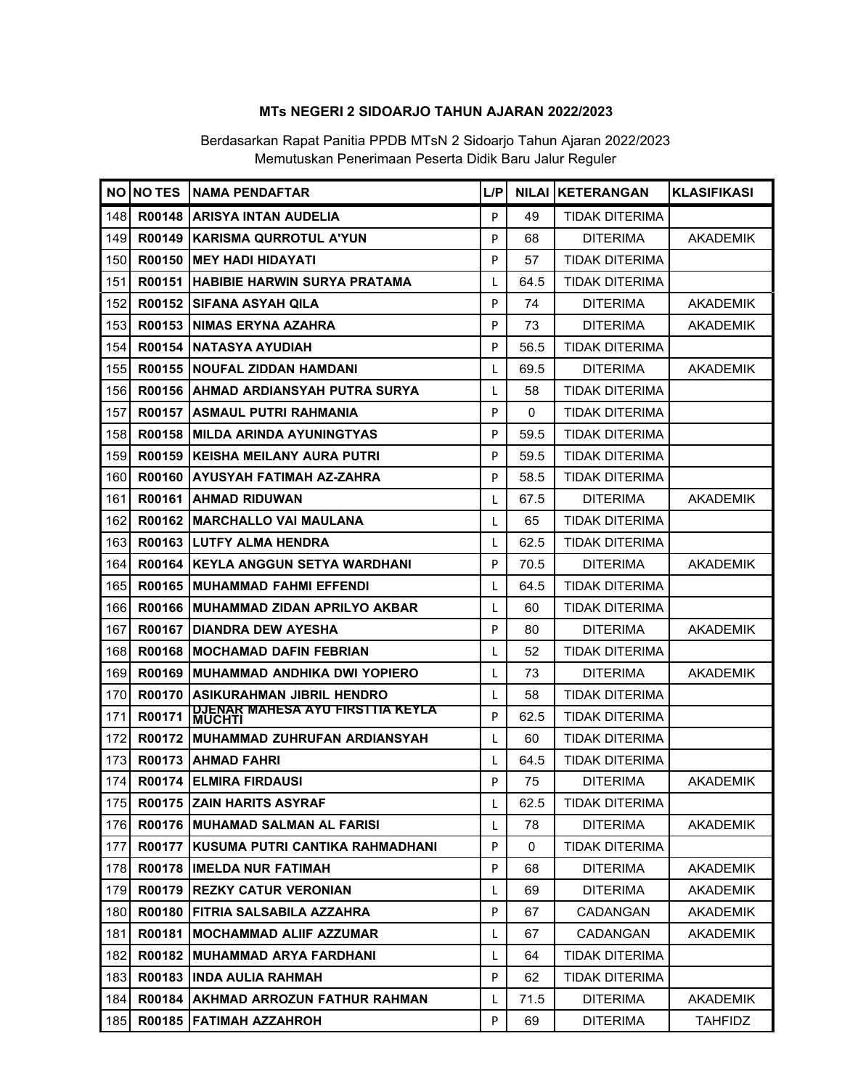|     | NO NO TES | <b>INAMA PENDAFTAR</b>                                   | L/P          |             | <b>NILAI IKETERANGAN</b> | <b>KLASIFIKASI</b> |
|-----|-----------|----------------------------------------------------------|--------------|-------------|--------------------------|--------------------|
| 148 | R00148    | ARISYA INTAN AUDELIA                                     | P            | 49          | TIDAK DITERIMA           |                    |
| 149 |           | R00149 KARISMA QURROTUL A'YUN                            | P            | 68          | <b>DITERIMA</b>          | <b>AKADEMIK</b>    |
| 150 | R00150    | <b>IMEY HADI HIDAYATI</b>                                | P            | 57          | <b>TIDAK DITERIMA</b>    |                    |
| 151 | R00151    | <b>HABIBIE HARWIN SURYA PRATAMA</b>                      | L            | 64.5        | TIDAK DITERIMA           |                    |
| 152 |           | R00152 SIFANA ASYAH QILA                                 | P            | 74          | <b>DITERIMA</b>          | <b>AKADEMIK</b>    |
| 153 |           | R00153 INIMAS ERYNA AZAHRA                               | P            | 73          | DITERIMA                 | AKADEMIK           |
| 154 | R00154    | NATASYA AYUDIAH                                          | P            | 56.5        | <b>TIDAK DITERIMA</b>    |                    |
| 155 |           | R00155 NOUFAL ZIDDAN HAMDANI                             | L            | 69.5        | <b>DITERIMA</b>          | <b>AKADEMIK</b>    |
| 156 |           | R00156 AHMAD ARDIANSYAH PUTRA SURYA                      | $\mathbf{I}$ | 58          | TIDAK DITERIMA           |                    |
| 157 | R00157    | ASMAUL PUTRI RAHMANIA                                    | P            | 0           | <b>TIDAK DITERIMA</b>    |                    |
| 158 |           | R00158 MILDA ARINDA AYUNINGTYAS                          | P            | 59.5        | <b>TIDAK DITERIMA</b>    |                    |
| 159 | R00159    | KEISHA MEILANY AURA PUTRI                                | P            | 59.5        | TIDAK DITERIMA           |                    |
| 160 | R00160    | IAYUSYAH FATIMAH AZ-ZAHRA                                | P            | 58.5        | TIDAK DITERIMA           |                    |
| 161 | R00161    | <b>IAHMAD RIDUWAN</b>                                    | L            | 67.5        | <b>DITERIMA</b>          | <b>AKADEMIK</b>    |
| 162 | R00162    | <b>IMARCHALLO VAI MAULANA</b>                            | L            | 65          | <b>TIDAK DITERIMA</b>    |                    |
| 163 |           | R00163 ILUTFY ALMA HENDRA                                | I.           | 62.5        | <b>TIDAK DITERIMA</b>    |                    |
| 164 |           | R00164 KEYLA ANGGUN SETYA WARDHANI                       | P            | 70.5        | DITERIMA                 | <b>AKADEMIK</b>    |
| 165 |           | R00165 MUHAMMAD FAHMI EFFENDI                            | L            | 64.5        | TIDAK DITERIMA           |                    |
| 166 |           | R00166 MUHAMMAD ZIDAN APRILYO AKBAR                      | I.           | 60          | <b>TIDAK DITERIMA</b>    |                    |
| 167 | R00167    | <b>IDIANDRA DEW AYESHA</b>                               | P            | 80          | <b>DITERIMA</b>          | <b>AKADEMIK</b>    |
| 168 |           | R00168 MOCHAMAD DAFIN FEBRIAN                            | L            | 52          | TIDAK DITERIMA           |                    |
| 169 | R00169    | IMUHAMMAD ANDHIKA DWI YOPIERO                            | L            | 73          | <b>DITERIMA</b>          | <b>AKADEMIK</b>    |
| 170 | R00170    | <b>ASIKURAHMAN JIBRIL HENDRO</b>                         | L            | 58          | TIDAK DITERIMA           |                    |
| 171 | R00171    | <b>DJENAR MAHESA AYU FIRSTTIA KEYLA</b><br><b>MUCHTI</b> | P            | 62.5        | <b>TIDAK DITERIMA</b>    |                    |
| 172 |           | R00172   MUHAMMAD ZUHRUFAN ARDIANSYAH                    | L            | 60          | <b>TIDAK DITERIMA</b>    |                    |
| 173 | R00173    | <b>IAHMAD FAHRI</b>                                      | L            | 64.5        | <b>TIDAK DITERIMA</b>    |                    |
| 174 |           | R00174 ELMIRA FIRDAUSI                                   | P            | 75          | <b>DITERIMA</b>          | <b>AKADEMIK</b>    |
| 175 |           | <b>R00175 ZAIN HARITS ASYRAF</b>                         | L            | 62.5        | TIDAK DITERIMA           |                    |
| 176 |           | R00176   MUHAMAD SALMAN AL FARISI                        | L            | 78          | <b>DITERIMA</b>          | <b>AKADEMIK</b>    |
| 177 | R00177    | IKUSUMA PUTRI CANTIKA RAHMADHANI                         | P            | $\mathbf 0$ | <b>TIDAK DITERIMA</b>    |                    |
| 178 |           | <b>R00178 IIMELDA NUR FATIMAH</b>                        | P            | 68          | <b>DITERIMA</b>          | <b>AKADEMIK</b>    |
| 179 |           | <b>R00179 REZKY CATUR VERONIAN</b>                       | L            | 69          | <b>DITERIMA</b>          | <b>AKADEMIK</b>    |
| 180 |           | R00180   FITRIA SALSABILA AZZAHRA                        | P            | 67          | <b>CADANGAN</b>          | <b>AKADEMIK</b>    |
| 181 | R00181    | <b>IMOCHAMMAD ALIIF AZZUMAR</b>                          | L            | 67          | CADANGAN                 | <b>AKADEMIK</b>    |
| 182 |           | R00182 MUHAMMAD ARYA FARDHANI                            | L            | 64          | <b>TIDAK DITERIMA</b>    |                    |
| 183 |           | R00183   INDA AULIA RAHMAH                               | P            | 62          | <b>TIDAK DITERIMA</b>    |                    |
| 184 | R00184    | <b>AKHMAD ARROZUN FATHUR RAHMAN</b>                      | L            | 71.5        | <b>DITERIMA</b>          | <b>AKADEMIK</b>    |
| 185 |           | R00185 FATIMAH AZZAHROH                                  | P            | 69          | <b>DITERIMA</b>          | <b>TAHFIDZ</b>     |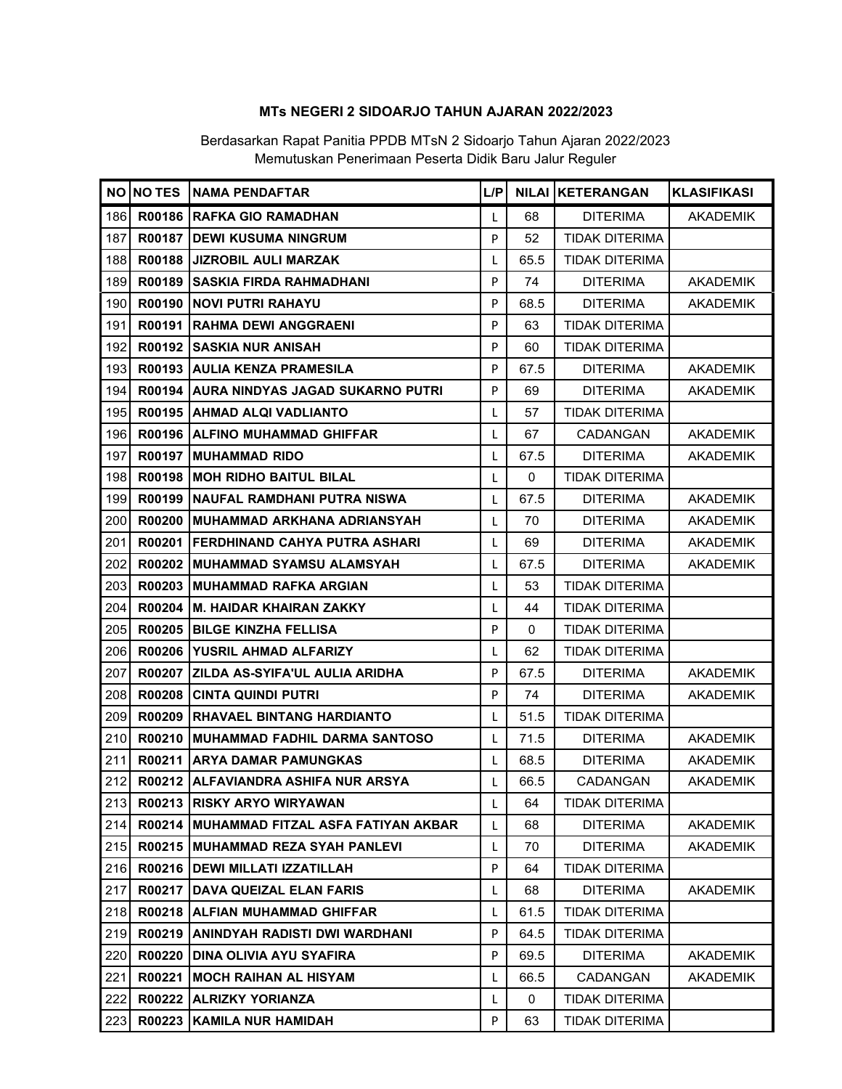|     |        | NO NO TES NAMA PENDAFTAR                  | L/P |          | <b>NILAI KETERANGAN</b> | <b>KLASIFIKASI</b> |
|-----|--------|-------------------------------------------|-----|----------|-------------------------|--------------------|
| 186 |        | R00186 RAFKA GIO RAMADHAN                 | L   | 68       | <b>DITERIMA</b>         | <b>AKADEMIK</b>    |
| 187 |        | R00187 DEWI KUSUMA NINGRUM                | P   | 52       | <b>TIDAK DITERIMA</b>   |                    |
| 188 |        | R00188 JIZROBIL AULI MARZAK               | L   | 65.5     | <b>TIDAK DITERIMA</b>   |                    |
| 189 | R00189 | SASKIA FIRDA RAHMADHANI                   | P   | 74       | <b>DITERIMA</b>         | <b>AKADEMIK</b>    |
| 190 |        | R00190 NOVI PUTRI RAHAYU                  | P   | 68.5     | <b>DITERIMA</b>         | <b>AKADEMIK</b>    |
| 191 |        | R00191 RAHMA DEWI ANGGRAENI               | P   | 63       | <b>TIDAK DITERIMA</b>   |                    |
| 192 |        | R00192 SASKIA NUR ANISAH                  | P   | 60       | <b>TIDAK DITERIMA</b>   |                    |
| 193 |        | R00193 AULIA KENZA PRAMESILA              | P   | 67.5     | <b>DITERIMA</b>         | <b>AKADEMIK</b>    |
| 194 |        | R00194 AURA NINDYAS JAGAD SUKARNO PUTRI   | P   | 69       | <b>DITERIMA</b>         | <b>AKADEMIK</b>    |
| 195 |        | R00195 AHMAD ALQI VADLIANTO               | L   | 57       | <b>TIDAK DITERIMA</b>   |                    |
| 196 |        | R00196 ALFINO MUHAMMAD GHIFFAR            | L   | 67       | <b>CADANGAN</b>         | <b>AKADEMIK</b>    |
| 197 |        | R00197 MUHAMMAD RIDO                      | L   | 67.5     | <b>DITERIMA</b>         | <b>AKADEMIK</b>    |
| 198 |        | R00198 MOH RIDHO BAITUL BILAL             | L   | $\Omega$ | <b>TIDAK DITERIMA</b>   |                    |
| 199 |        | R00199   NAUFAL RAMDHANI PUTRA NISWA      | L   | 67.5     | <b>DITERIMA</b>         | <b>AKADEMIK</b>    |
| 200 |        | R00200 MUHAMMAD ARKHANA ADRIANSYAH        | L   | 70       | <b>DITERIMA</b>         | <b>AKADEMIK</b>    |
| 201 |        | R00201 FERDHINAND CAHYA PUTRA ASHARI      | L   | 69       | <b>DITERIMA</b>         | <b>AKADEMIK</b>    |
| 202 |        | R00202 MUHAMMAD SYAMSU ALAMSYAH           | L   | 67.5     | <b>DITERIMA</b>         | <b>AKADEMIK</b>    |
| 203 |        | R00203 MUHAMMAD RAFKA ARGIAN              | L   | 53       | <b>TIDAK DITERIMA</b>   |                    |
| 204 |        | R00204 M. HAIDAR KHAIRAN ZAKKY            | L   | 44       | <b>TIDAK DITERIMA</b>   |                    |
| 205 |        | R00205 BILGE KINZHA FELLISA               | P   | 0        | <b>TIDAK DITERIMA</b>   |                    |
| 206 |        | R00206 YUSRIL AHMAD ALFARIZY              | L   | 62       | <b>TIDAK DITERIMA</b>   |                    |
| 207 |        | R00207 ZILDA AS-SYIFA'UL AULIA ARIDHA     | P   | 67.5     | <b>DITERIMA</b>         | <b>AKADEMIK</b>    |
| 208 | R00208 | CINTA QUINDI PUTRI                        | P   | 74       | <b>DITERIMA</b>         | <b>AKADEMIK</b>    |
| 209 |        | R00209 RHAVAEL BINTANG HARDIANTO          | L   | 51.5     | <b>TIDAK DITERIMA</b>   |                    |
| 210 |        | R00210   MUHAMMAD FADHIL DARMA SANTOSO    | L   | 71.5     | <b>DITERIMA</b>         | <b>AKADEMIK</b>    |
| 211 |        | R00211 ARYA DAMAR PAMUNGKAS               | L   | 68.5     | <b>DITERIMA</b>         | <b>AKADEMIK</b>    |
| 212 |        | R00212 ALFAVIANDRA ASHIFA NUR ARSYA       | L   | 66.5     | CADANGAN                | <b>AKADEMIK</b>    |
| 213 |        | R00213   RISKY ARYO WIRYAWAN              | L   | 64       | TIDAK DITERIMA          |                    |
| 214 |        | R00214 MUHAMMAD FITZAL ASFA FATIYAN AKBAR | L   | 68       | <b>DITERIMA</b>         | <b>AKADEMIK</b>    |
| 215 |        | R00215   MUHAMMAD REZA SYAH PANLEVI       | L   | 70       | <b>DITERIMA</b>         | <b>AKADEMIK</b>    |
| 216 |        | R00216   DEWI MILLATI IZZATILLAH          | P   | 64       | <b>TIDAK DITERIMA</b>   |                    |
| 217 |        | R00217 DAVA QUEIZAL ELAN FARIS            | L   | 68       | <b>DITERIMA</b>         | <b>AKADEMIK</b>    |
| 218 |        | R00218 ALFIAN MUHAMMAD GHIFFAR            | L   | 61.5     | <b>TIDAK DITERIMA</b>   |                    |
| 219 | R00219 | <b>ANINDYAH RADISTI DWI WARDHANI</b>      | P   | 64.5     | <b>TIDAK DITERIMA</b>   |                    |
| 220 | R00220 | <b>DINA OLIVIA AYU SYAFIRA</b>            | P   | 69.5     | <b>DITERIMA</b>         | <b>AKADEMIK</b>    |
| 221 | R00221 | MOCH RAIHAN AL HISYAM                     | L   | 66.5     | CADANGAN                | AKADEMIK           |
| 222 | R00222 | <b>ALRIZKY YORIANZA</b>                   | L   | 0        | TIDAK DITERIMA          |                    |
| 223 | R00223 | <b>KAMILA NUR HAMIDAH</b>                 | P   | 63       | TIDAK DITERIMA          |                    |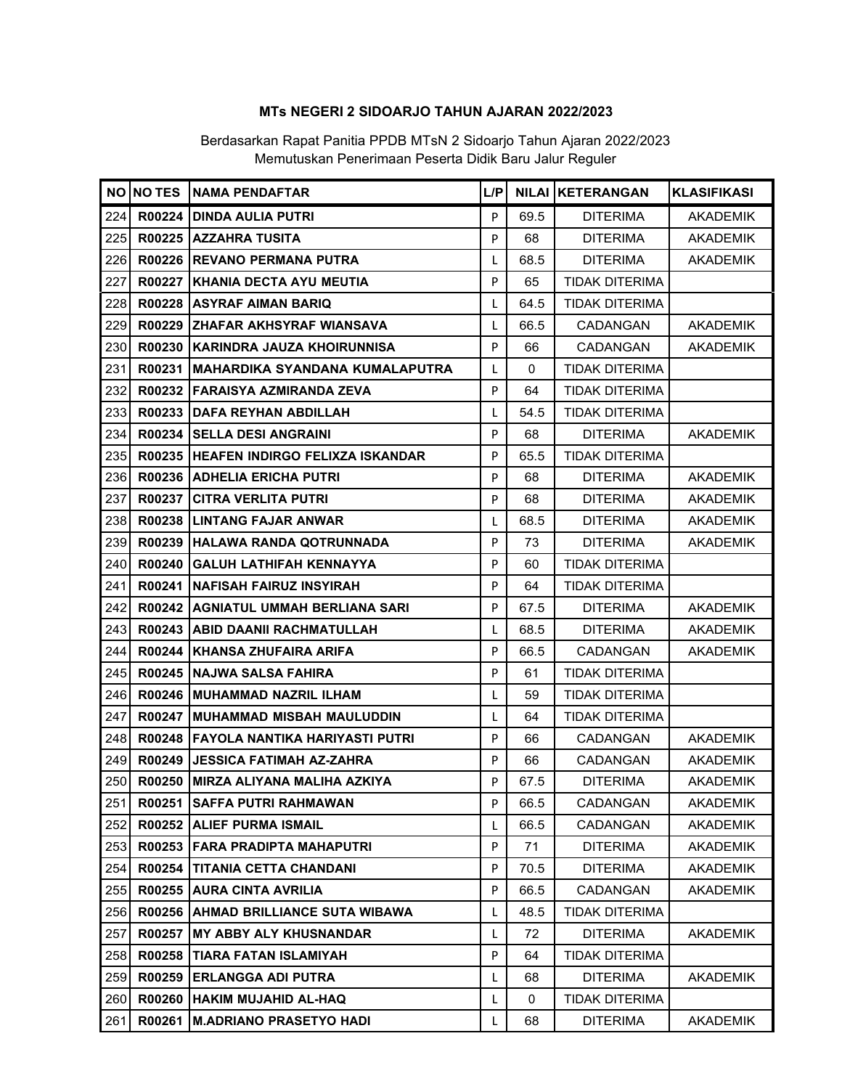|     |               | NO NO TES NAMA PENDAFTAR                | L/P |          | <b>NILAI KETERANGAN</b> | <b>KLASIFIKASI</b> |
|-----|---------------|-----------------------------------------|-----|----------|-------------------------|--------------------|
| 224 | R00224        | <b>DINDA AULIA PUTRI</b>                | P   | 69.5     | <b>DITERIMA</b>         | <b>AKADEMIK</b>    |
| 225 |               | R00225 AZZAHRA TUSITA                   | P   | 68       | <b>DITERIMA</b>         | <b>AKADEMIK</b>    |
| 226 |               | R00226 REVANO PERMANA PUTRA             | L   | 68.5     | <b>DITERIMA</b>         | <b>AKADEMIK</b>    |
| 227 |               | R00227 KHANIA DECTA AYU MEUTIA          | P   | 65       | <b>TIDAK DITERIMA</b>   |                    |
| 228 |               | R00228 ASYRAF AIMAN BARIQ               | L   | 64.5     | <b>TIDAK DITERIMA</b>   |                    |
| 229 |               | R00229 ZHAFAR AKHSYRAF WIANSAVA         | L   | 66.5     | CADANGAN                | <b>AKADEMIK</b>    |
| 230 |               | R00230 KARINDRA JAUZA KHOIRUNNISA       | P   | 66       | CADANGAN                | AKADEMIK           |
| 231 |               | R00231   MAHARDIKA SYANDANA KUMALAPUTRA | L   | $\Omega$ | <b>TIDAK DITERIMA</b>   |                    |
| 232 |               | R00232   FARAISYA AZMIRANDA ZEVA        | P   | 64       | <b>TIDAK DITERIMA</b>   |                    |
| 233 |               | R00233 DAFA REYHAN ABDILLAH             | L   | 54.5     | <b>TIDAK DITERIMA</b>   |                    |
| 234 |               | R00234 SELLA DESI ANGRAINI              | P   | 68       | <b>DITERIMA</b>         | <b>AKADEMIK</b>    |
| 235 |               | R00235 HEAFEN INDIRGO FELIXZA ISKANDAR  | P   | 65.5     | <b>TIDAK DITERIMA</b>   |                    |
| 236 |               | R00236 ADHELIA ERICHA PUTRI             | P   | 68       | <b>DITERIMA</b>         | <b>AKADEMIK</b>    |
| 237 |               | R00237 CITRA VERLITA PUTRI              | P   | 68       | <b>DITERIMA</b>         | <b>AKADEMIK</b>    |
| 238 | R00238        | LINTANG FAJAR ANWAR                     | L   | 68.5     | <b>DITERIMA</b>         | <b>AKADEMIK</b>    |
| 239 |               | R00239 HALAWA RANDA QOTRUNNADA          | P   | 73       | <b>DITERIMA</b>         | <b>AKADEMIK</b>    |
| 240 | R00240        | <b>GALUH LATHIFAH KENNAYYA</b>          | P   | 60       | <b>TIDAK DITERIMA</b>   |                    |
| 241 |               | R00241 NAFISAH FAIRUZ INSYIRAH          | P   | 64       | <b>TIDAK DITERIMA</b>   |                    |
| 242 |               | R00242 AGNIATUL UMMAH BERLIANA SARI     | P   | 67.5     | <b>DITERIMA</b>         | <b>AKADEMIK</b>    |
| 243 |               | R00243 ABID DAANII RACHMATULLAH         | L   | 68.5     | <b>DITERIMA</b>         | <b>AKADEMIK</b>    |
| 244 |               | R00244 KHANSA ZHUFAIRA ARIFA            | P   | 66.5     | CADANGAN                | <b>AKADEMIK</b>    |
| 245 |               | R00245 NAJWA SALSA FAHIRA               | P   | 61       | <b>TIDAK DITERIMA</b>   |                    |
| 246 |               | R00246   MUHAMMAD NAZRIL ILHAM          | L   | 59       | <b>TIDAK DITERIMA</b>   |                    |
| 247 |               | R00247 MUHAMMAD MISBAH MAULUDDIN        | L   | 64       | <b>TIDAK DITERIMA</b>   |                    |
| 248 |               | R00248   FAYOLA NANTIKA HARIYASTI PUTRI | P   | 66       | <b>CADANGAN</b>         | <b>AKADEMIK</b>    |
| 249 | R00249        | <b>JESSICA FATIMAH AZ-ZAHRA</b>         | P   | 66       | CADANGAN                | <b>AKADEMIK</b>    |
| 250 |               | R00250 MIRZA ALIYANA MALIHA AZKIYA      | P   | 67.5     | <b>DITERIMA</b>         | <b>AKADEMIK</b>    |
| 251 |               | R00251   SAFFA PUTRI RAHMAWAN           | P   | 66.5     | CADANGAN                | <b>AKADEMIK</b>    |
| 252 |               | R00252 ALIEF PURMA ISMAIL               | L   | 66.5     | CADANGAN                | <b>AKADEMIK</b>    |
| 253 |               | R00253   FARA PRADIPTA MAHAPUTRI        | P   | 71       | <b>DITERIMA</b>         | <b>AKADEMIK</b>    |
| 254 | R00254        | TITANIA CETTA CHANDANI                  | P   | 70.5     | <b>DITERIMA</b>         | <b>AKADEMIK</b>    |
| 255 |               | R00255 AURA CINTA AVRILIA               | P   | 66.5     | CADANGAN                | <b>AKADEMIK</b>    |
| 256 |               | R00256   AHMAD BRILLIANCE SUTA WIBAWA   | L   | 48.5     | <b>TIDAK DITERIMA</b>   |                    |
| 257 | R00257        | <b>MY ABBY ALY KHUSNANDAR</b>           | L   | 72       | <b>DITERIMA</b>         | <b>AKADEMIK</b>    |
| 258 | R00258        | <b>TIARA FATAN ISLAMIYAH</b>            | P   | 64       | <b>TIDAK DITERIMA</b>   |                    |
| 259 | R00259        | <b>ERLANGGA ADI PUTRA</b>               | L   | 68       | <b>DITERIMA</b>         | <b>AKADEMIK</b>    |
| 260 | <b>R00260</b> | HAKIM MUJAHID AL-HAQ                    | L   | 0        | <b>TIDAK DITERIMA</b>   |                    |
| 261 | R00261        | <b>M.ADRIANO PRASETYO HADI</b>          | L   | 68       | <b>DITERIMA</b>         | <b>AKADEMIK</b>    |